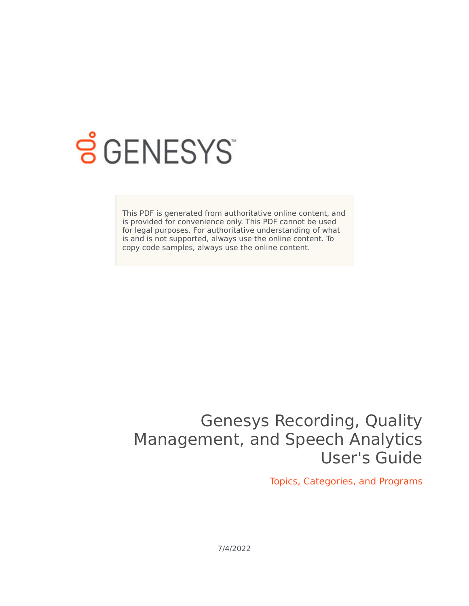

## **SGENESYS**

This PDF is generated from authoritative online content, and is provided for convenience only. This PDF cannot be used for legal purposes. For authoritative understanding of what is and is not supported, always use the online content. To copy code samples, always use the online content.

## Genesys Recording, Quality Management, and Speech Analytics User's Guide

Topics, Categories, and Programs

7/4/2022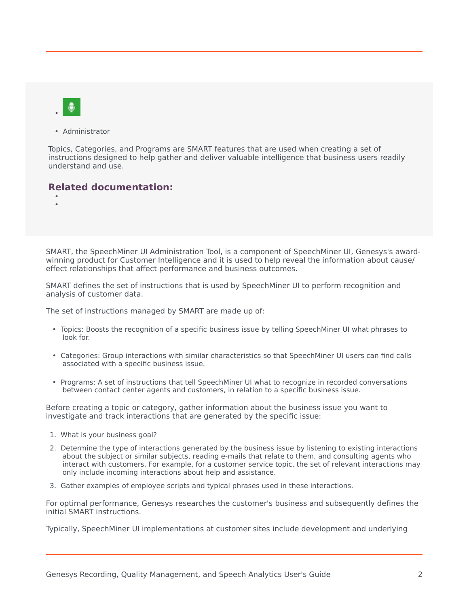• Administrator

Topics, Categories, and Programs are SMART features that are used when creating a set of instructions designed to help gather and deliver valuable intelligence that business users readily understand and use.

## **Related documentation:**

• •

SMART, the SpeechMiner UI Administration Tool, is a component of SpeechMiner UI, Genesys's awardwinning product for Customer Intelligence and it is used to help reveal the information about cause/ effect relationships that affect performance and business outcomes.

SMART defines the set of instructions that is used by SpeechMiner UI to perform recognition and analysis of customer data.

The set of instructions managed by SMART are made up of:

- Topics: Boosts the recognition of a specific business issue by telling SpeechMiner UI what phrases to look for.
- Categories: Group interactions with similar characteristics so that SpeechMiner UI users can find calls associated with a specific business issue.
- Programs: A set of instructions that tell SpeechMiner UI what to recognize in recorded conversations between contact center agents and customers, in relation to a specific business issue.

Before creating a topic or category, gather information about the business issue you want to investigate and track interactions that are generated by the specific issue:

- 1. What is your business goal?
- 2. Determine the type of interactions generated by the business issue by listening to existing interactions about the subject or similar subjects, reading e-mails that relate to them, and consulting agents who interact with customers. For example, for a customer service topic, the set of relevant interactions may only include incoming interactions about help and assistance.
- 3. Gather examples of employee scripts and typical phrases used in these interactions.

For optimal performance, Genesys researches the customer's business and subsequently defines the initial SMART instructions.

Typically, SpeechMiner UI implementations at customer sites include development and underlying